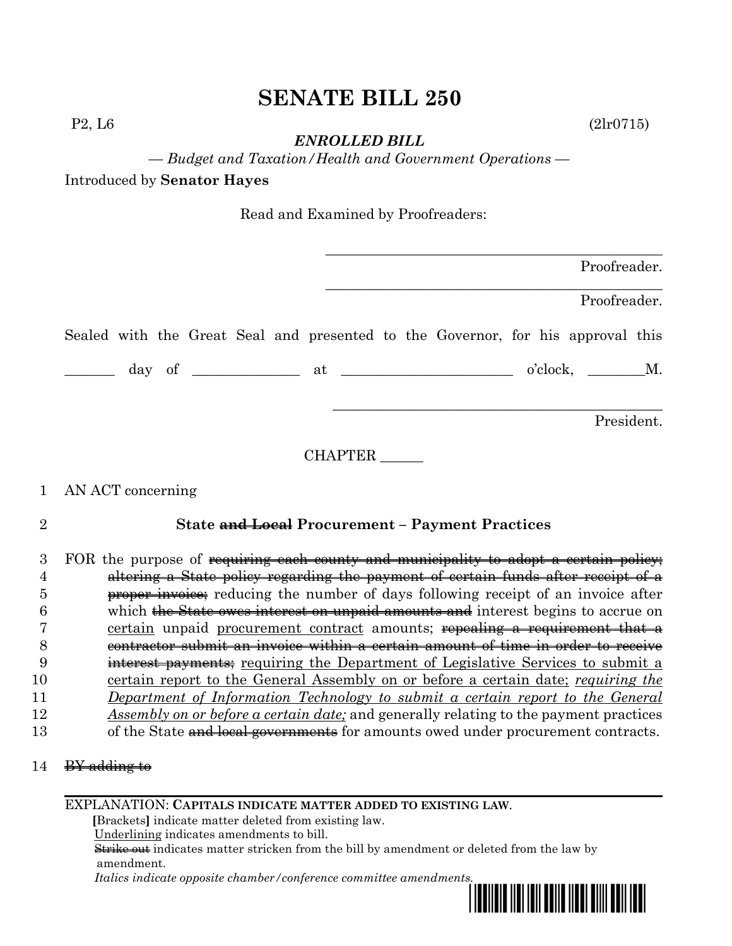# **SENATE BILL 250**

*ENROLLED BILL*

*— Budget and Taxation/Health and Government Operations —*

Introduced by **Senator Hayes**

Read and Examined by Proofreaders:

|  |  |  |  |                                                                                 |  | Proofreader. |  |
|--|--|--|--|---------------------------------------------------------------------------------|--|--------------|--|
|  |  |  |  |                                                                                 |  | Proofreader. |  |
|  |  |  |  | Sealed with the Great Seal and presented to the Governor, for his approval this |  |              |  |
|  |  |  |  |                                                                                 |  | o'clock, M.  |  |
|  |  |  |  |                                                                                 |  | President.   |  |

CHAPTER \_\_\_\_\_\_

## 1 AN ACT concerning

# 2 **State and Local Procurement – Payment Practices**

|    | FOR the purpose of requiring each county and municipality to adopt a certain policy;      |
|----|-------------------------------------------------------------------------------------------|
|    | altering a State policy regarding the payment of certain funds after receipt of a         |
|    | <b>proper invoice</b> ; reducing the number of days following receipt of an invoice after |
|    | which the State owes interest on unpaid amounts and interest begins to accrue on          |
|    | certain unpaid procurement contract amounts; repealing a requirement that a               |
|    | tractor submit an invoice within a certain amount of time in order to receive             |
|    | interest payments; requiring the Department of Legislative Services to submit a           |
| 10 | certain report to the General Assembly on or before a certain date; requiring the         |
| 11 | Department of Information Technology to submit a certain report to the General            |
| 12 | Assembly on or before a certain date; and generally relating to the payment practices     |
| 13 | of the State and local governments for amounts owed under procurement contracts.          |

|  | odding to<br>$rac{1}{2}$ |  |
|--|--------------------------|--|
|--|--------------------------|--|

#### EXPLANATION: **CAPITALS INDICATE MATTER ADDED TO EXISTING LAW**.

 **[**Brackets**]** indicate matter deleted from existing law.

Underlining indicates amendments to bill.

 Strike out indicates matter stricken from the bill by amendment or deleted from the law by amendment.

 *Italics indicate opposite chamber/conference committee amendments.*



 $P2, L6$  (2lr0715)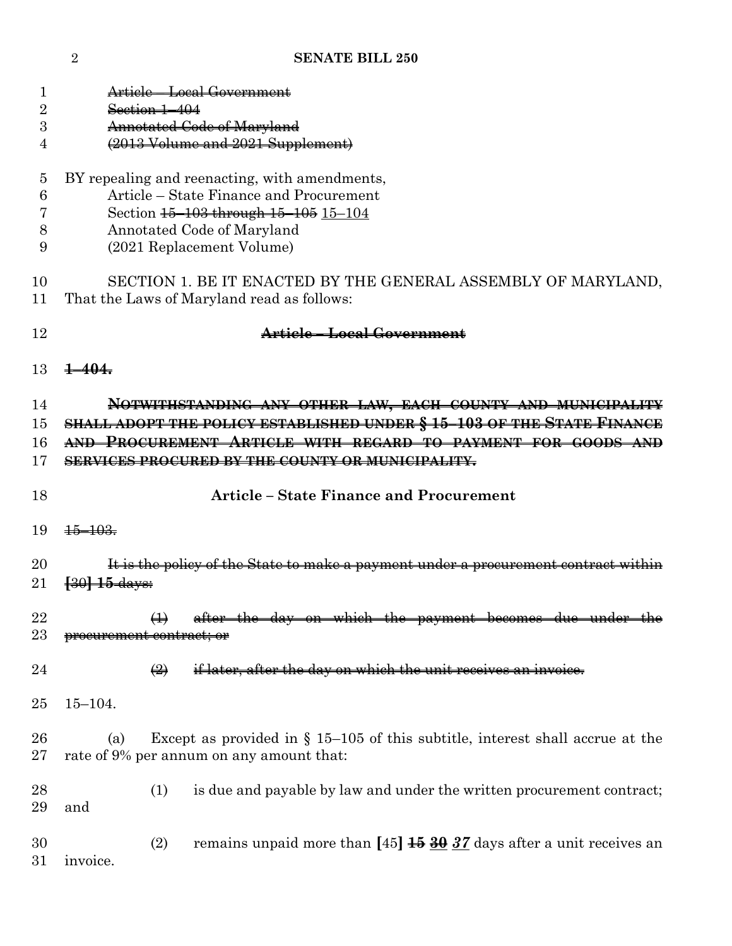**SENATE BILL 250**

| T<br>$\overline{2}$<br>3<br>4 | Article – Local Government<br>Section 1-404<br>Annotated Code of Maryland<br>(2013 Volume and 2021 Supplement)                                                                                                                                                   |
|-------------------------------|------------------------------------------------------------------------------------------------------------------------------------------------------------------------------------------------------------------------------------------------------------------|
| 5<br>6<br>8<br>9              | BY repealing and reenacting, with amendments,<br>Article – State Finance and Procurement<br>Section 15-103 through 15-105 15-104<br>Annotated Code of Maryland<br>(2021 Replacement Volume)                                                                      |
| 10<br>11                      | SECTION 1. BE IT ENACTED BY THE GENERAL ASSEMBLY OF MARYLAND,<br>That the Laws of Maryland read as follows:                                                                                                                                                      |
| 12                            | Article - Local Government                                                                                                                                                                                                                                       |
| 13                            | ┹╾<br>404.                                                                                                                                                                                                                                                       |
| 14<br>15<br>16<br>17          | NOTWITHSTANDING ANY OTHER LAW, EACH COUNTY AND MUNICIPALITY<br>SHALL ADOPT THE POLICY ESTABLISHED UNDER § 15-103 OF THE STATE FINANCE<br>AND PROCUREMENT ARTICLE WITH REGARD TO PAYMENT FOR GOODS AND<br><b>SERVICES PROCURED BY THE COUNTY OR MUNICIPALITY.</b> |
| 18                            | <b>Article - State Finance and Procurement</b>                                                                                                                                                                                                                   |
| 19                            | $+\frac{103}{2}$                                                                                                                                                                                                                                                 |
| 20<br>21                      | It is the policy of the State to make a payment under a procurement contract within<br><del> 30  15 days:</del>                                                                                                                                                  |
| 22<br>23                      | day on which the payment becomes due under the<br><del>procurement contract; or</del>                                                                                                                                                                            |
| 24                            | if later, after the day on which the unit receives an invoice.<br>$\left(\frac{2}{2}\right)$                                                                                                                                                                     |
| 25                            | $15 - 104.$                                                                                                                                                                                                                                                      |
| 26                            |                                                                                                                                                                                                                                                                  |
| 27                            | Except as provided in $\S$ 15–105 of this subtitle, interest shall accrue at the<br>(a)<br>rate of 9% per annum on any amount that:                                                                                                                              |
| 28<br>29                      | (1)<br>is due and payable by law and under the written procurement contract;<br>and                                                                                                                                                                              |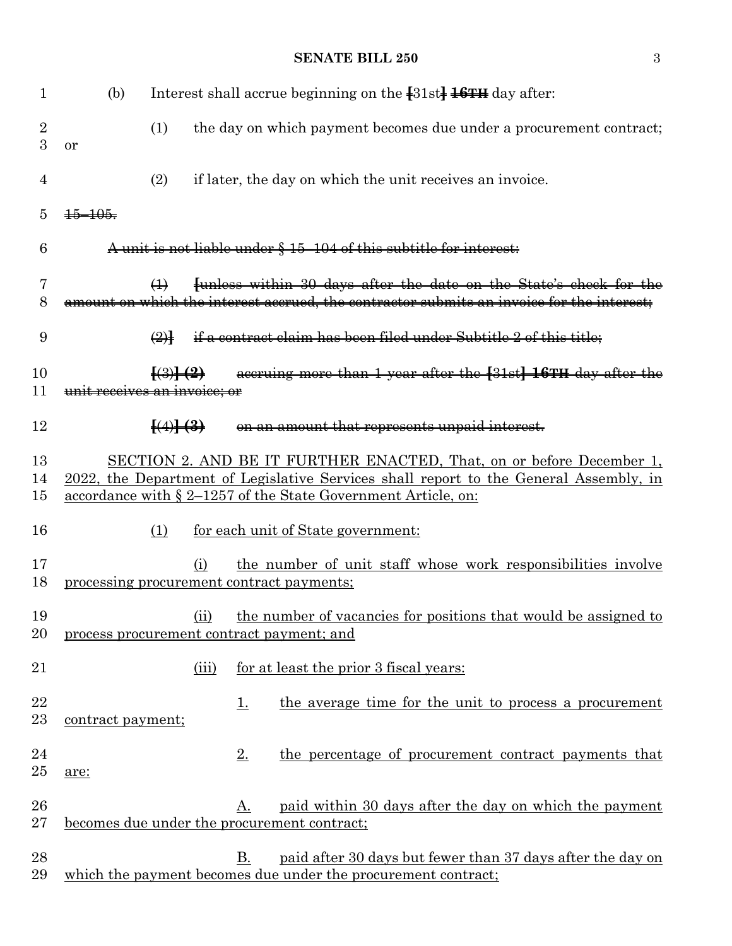#### **SENATE BILL 250** 3

| $\mathbf{1}$        | (b)                                                |                                                      |           | Interest shall accrue beginning on the $\{31st\}$ $\frac{16TH}{16}$ day after:                                                                                                                                                        |
|---------------------|----------------------------------------------------|------------------------------------------------------|-----------|---------------------------------------------------------------------------------------------------------------------------------------------------------------------------------------------------------------------------------------|
| $\overline{2}$<br>3 | (1)<br>or                                          |                                                      |           | the day on which payment becomes due under a procurement contract;                                                                                                                                                                    |
| $\overline{4}$      | (2)                                                |                                                      |           | if later, the day on which the unit receives an invoice.                                                                                                                                                                              |
| 5                   | $\frac{15 - 105}{100}$                             |                                                      |           |                                                                                                                                                                                                                                       |
| 6                   |                                                    |                                                      |           | A unit is not liable under § 15-104 of this subtitle for interest:                                                                                                                                                                    |
| 7<br>8              | $\leftrightarrow$                                  |                                                      |           | funless within 30 days after the date on the State's check for the<br>amount on which the interest accrued, the contractor submits an invoice for the interest;                                                                       |
| 9                   | $\bigoplus$                                        |                                                      |           | if a contract claim has been filed under Subtitle 2 of this title;                                                                                                                                                                    |
| 10<br>11            | unit receives an invoice; or                       | $\left\{ \left( 3\right) \right\}$ $\left( 2\right)$ |           | accruing more than 1 year after the [31st] 16TH day after the                                                                                                                                                                         |
| 12                  |                                                    | $\left(\frac{4}{3}\right)$                           |           | on an amount that represents unpaid interest.                                                                                                                                                                                         |
| 13<br>14<br>15      |                                                    |                                                      |           | SECTION 2. AND BE IT FURTHER ENACTED, That, on or before December 1,<br>2022, the Department of Legislative Services shall report to the General Assembly, in<br><u>accordance with § 2–1257 of the State Government Article, on:</u> |
| 16                  | (1)                                                |                                                      |           | for each unit of State government:                                                                                                                                                                                                    |
| 17<br>18            | processing procurement contract payments;          | (i)                                                  |           | the number of unit staff whose work responsibilities involve                                                                                                                                                                          |
| 19<br>20            | process procurement contract payment; and          | (ii)                                                 |           | the number of vacancies for positions that would be assigned to                                                                                                                                                                       |
| 21                  |                                                    | (iii)                                                |           | for at least the prior 3 fiscal years:                                                                                                                                                                                                |
| 22<br>$23\,$        | contract payment;                                  |                                                      | <u>1.</u> | the average time for the unit to process a procurement                                                                                                                                                                                |
| 24<br>$25\,$        | are:                                               |                                                      | 2.        | the percentage of procurement contract payments that                                                                                                                                                                                  |
| 26<br>$27\,$        | <u>becomes due under the procurement contract;</u> |                                                      | A.        | paid within 30 days after the day on which the payment                                                                                                                                                                                |
| 28<br>29            |                                                    |                                                      | <b>B.</b> | paid after 30 days but fewer than 37 days after the day on<br>which the payment becomes due under the procurement contract;                                                                                                           |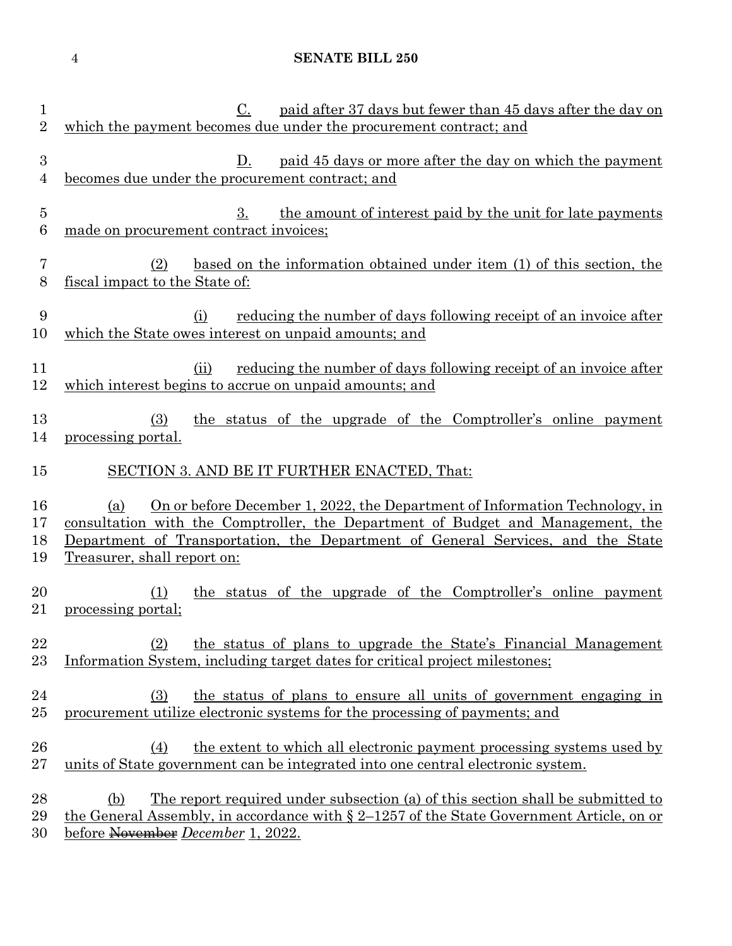### **SENATE BILL 250**

| 1<br>$\overline{2}$                | paid after 37 days but fewer than 45 days after the day on<br>C.<br>which the payment becomes due under the procurement contract; and                                                                                                                                                          |
|------------------------------------|------------------------------------------------------------------------------------------------------------------------------------------------------------------------------------------------------------------------------------------------------------------------------------------------|
| $\boldsymbol{3}$<br>$\overline{4}$ | paid 45 days or more after the day on which the payment<br>D.<br>becomes due under the procurement contract; and                                                                                                                                                                               |
| $\overline{5}$<br>6                | the amount of interest paid by the unit for late payments<br>3.<br>made on procurement contract invoices;                                                                                                                                                                                      |
| 7<br>8                             | based on the information obtained under item (1) of this section, the<br>(2)<br>fiscal impact to the State of:                                                                                                                                                                                 |
| 9<br>10                            | (i)<br><u>reducing the number of days following receipt of an invoice after</u><br>which the State owes interest on unpaid amounts; and                                                                                                                                                        |
| 11<br>12                           | reducing the number of days following receipt of an invoice after<br>(ii)<br>which interest begins to accrue on unpaid amounts; and                                                                                                                                                            |
| 13<br>14                           | the status of the upgrade of the Comptroller's online payment<br>(3)<br>processing portal.                                                                                                                                                                                                     |
| 15                                 | SECTION 3. AND BE IT FURTHER ENACTED, That:                                                                                                                                                                                                                                                    |
| 16<br>17<br>18<br>19               | On or before December 1, 2022, the Department of Information Technology, in<br>(a)<br>consultation with the Comptroller, the Department of Budget and Management, the<br><u>Department of Transportation, the Department of General Services, and the State</u><br>Treasurer, shall report on: |
| 20<br>21                           | the status of the upgrade of the Comptroller's online payment<br>(1)<br>processing portal;                                                                                                                                                                                                     |
| 22<br>$23\,$                       | the status of plans to upgrade the State's Financial Management<br>(2)<br>Information System, including target dates for critical project milestones;                                                                                                                                          |
| 24<br>$25\,$                       | the status of plans to ensure all units of government engaging in<br>(3)<br>procurement utilize electronic systems for the processing of payments; and                                                                                                                                         |
| 26<br>$27\,$                       | the extent to which all electronic payment processing systems used by<br>(4)<br>units of State government can be integrated into one central electronic system.                                                                                                                                |
| 28<br>29<br>30                     | <u>The report required under subsection (a) of this section shall be submitted to</u><br>(b)<br><u>the General Assembly, in accordance with <math>\S 2</math>–1257 of the State Government Article, on or</u><br>before November December 1, 2022.                                             |